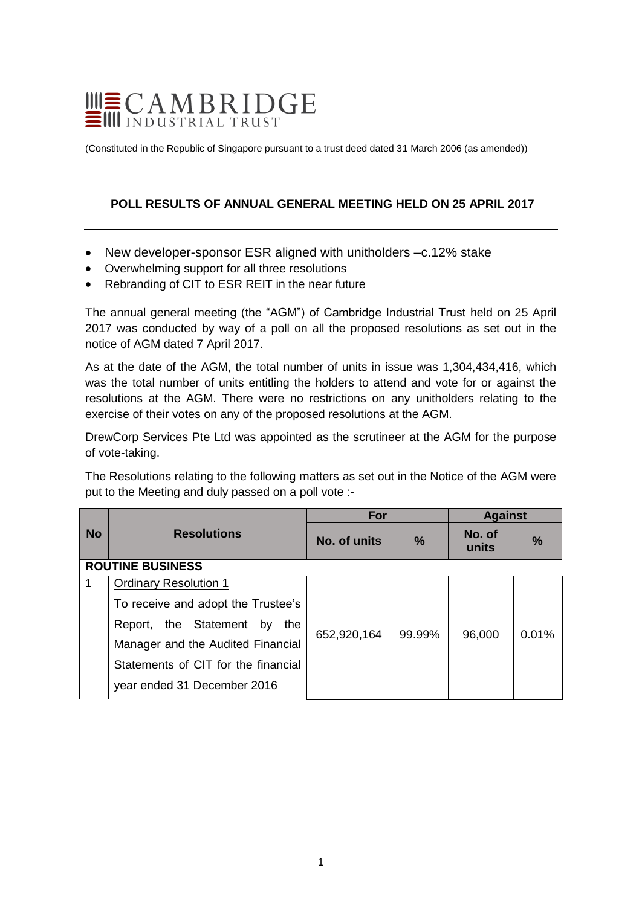# $\begin{tabular}{l} \hline \hline \hline \multicolumn{1}{l}{\textbf{III}}\n \\ \hline \multicolumn{1}{l}{\textbf{C}}\n \\ \hline \multicolumn{1}{l}{\textbf{H}\n \\ \hline \multicolumn{1}{l}{\textbf{I}\n \\ \hline \multicolumn{1}{l}{\textbf{I}\n \\ \hline \multicolumn{1}{l}{\textbf{I}\n \\ \hline \multicolumn{1}{l}{\textbf{I}\n \\ \hline \multicolumn{1}{l}{\textbf{I}\n \\ \hline \multicolumn{1}{l}{\textbf{I}\n \\ \hline \multicolumn{1}{l}{\textbf{I}\n \\ \hline \$

(Constituted in the Republic of Singapore pursuant to a trust deed dated 31 March 2006 (as amended))

## **POLL RESULTS OF ANNUAL GENERAL MEETING HELD ON 25 APRIL 2017**

- New developer-sponsor ESR aligned with unitholders -c.12% stake
- Overwhelming support for all three resolutions
- Rebranding of CIT to ESR REIT in the near future

The annual general meeting (the "AGM") of Cambridge Industrial Trust held on 25 April 2017 was conducted by way of a poll on all the proposed resolutions as set out in the notice of AGM dated 7 April 2017.

As at the date of the AGM, the total number of units in issue was 1,304,434,416, which was the total number of units entitling the holders to attend and vote for or against the resolutions at the AGM. There were no restrictions on any unitholders relating to the exercise of their votes on any of the proposed resolutions at the AGM.

DrewCorp Services Pte Ltd was appointed as the scrutineer at the AGM for the purpose of vote-taking.

The Resolutions relating to the following matters as set out in the Notice of the AGM were put to the Meeting and duly passed on a poll vote :-

|                         |                                     | For                 |               | <b>Against</b>  |               |  |  |  |  |
|-------------------------|-------------------------------------|---------------------|---------------|-----------------|---------------|--|--|--|--|
| <b>No</b>               | <b>Resolutions</b>                  | <b>No. of units</b> | $\frac{9}{6}$ | No. of<br>units | $\frac{9}{6}$ |  |  |  |  |
| <b>ROUTINE BUSINESS</b> |                                     |                     |               |                 |               |  |  |  |  |
|                         | <b>Ordinary Resolution 1</b>        |                     |               |                 |               |  |  |  |  |
|                         | To receive and adopt the Trustee's  |                     |               |                 |               |  |  |  |  |
|                         | Report, the Statement by<br>the     | 652,920,164         | 99.99%        | 96,000          | 0.01%         |  |  |  |  |
|                         | Manager and the Audited Financial   |                     |               |                 |               |  |  |  |  |
|                         | Statements of CIT for the financial |                     |               |                 |               |  |  |  |  |
|                         | year ended 31 December 2016         |                     |               |                 |               |  |  |  |  |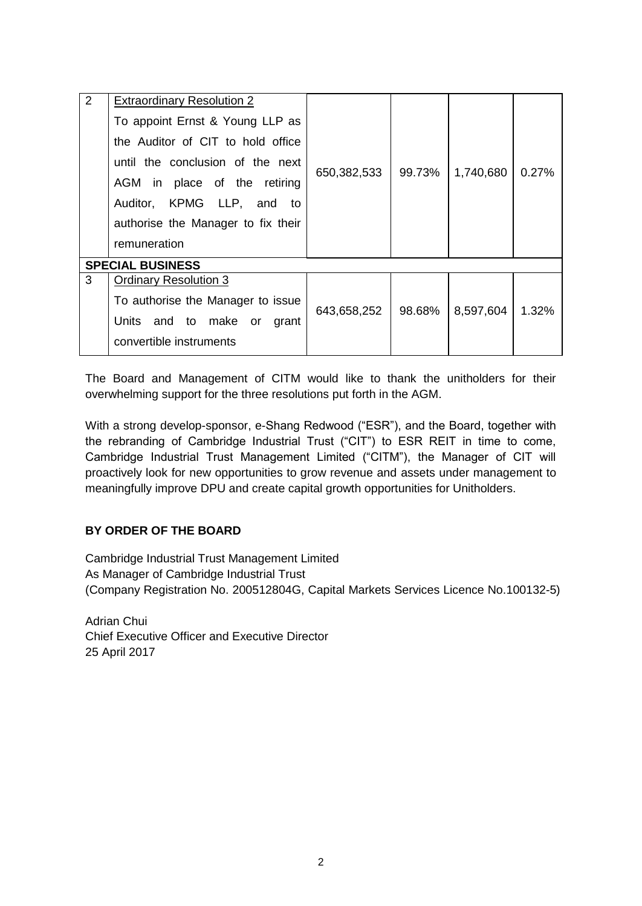| 2                       | <b>Extraordinary Resolution 2</b>  |             |        |           |       |  |  |  |
|-------------------------|------------------------------------|-------------|--------|-----------|-------|--|--|--|
|                         | To appoint Ernst & Young LLP as    | 650,382,533 | 99.73% | 1,740,680 | 0.27% |  |  |  |
|                         | the Auditor of CIT to hold office  |             |        |           |       |  |  |  |
|                         | until the conclusion of the next   |             |        |           |       |  |  |  |
|                         | AGM in place of the retiring       |             |        |           |       |  |  |  |
|                         | Auditor, KPMG LLP, and to          |             |        |           |       |  |  |  |
|                         | authorise the Manager to fix their |             |        |           |       |  |  |  |
|                         | remuneration                       |             |        |           |       |  |  |  |
| <b>SPECIAL BUSINESS</b> |                                    |             |        |           |       |  |  |  |
| 3                       | <b>Ordinary Resolution 3</b>       |             |        |           |       |  |  |  |
|                         | To authorise the Manager to issue  | 643,658,252 | 98.68% | 8,597,604 | 1.32% |  |  |  |
|                         | Units and to make or<br>grant      |             |        |           |       |  |  |  |
|                         | convertible instruments            |             |        |           |       |  |  |  |

The Board and Management of CITM would like to thank the unitholders for their overwhelming support for the three resolutions put forth in the AGM.

With a strong develop-sponsor, e-Shang Redwood ("ESR"), and the Board, together with the rebranding of Cambridge Industrial Trust ("CIT") to ESR REIT in time to come, Cambridge Industrial Trust Management Limited ("CITM"), the Manager of CIT will proactively look for new opportunities to grow revenue and assets under management to meaningfully improve DPU and create capital growth opportunities for Unitholders.

## **BY ORDER OF THE BOARD**

Cambridge Industrial Trust Management Limited As Manager of Cambridge Industrial Trust (Company Registration No. 200512804G, Capital Markets Services Licence No.100132-5)

Adrian Chui Chief Executive Officer and Executive Director 25 April 2017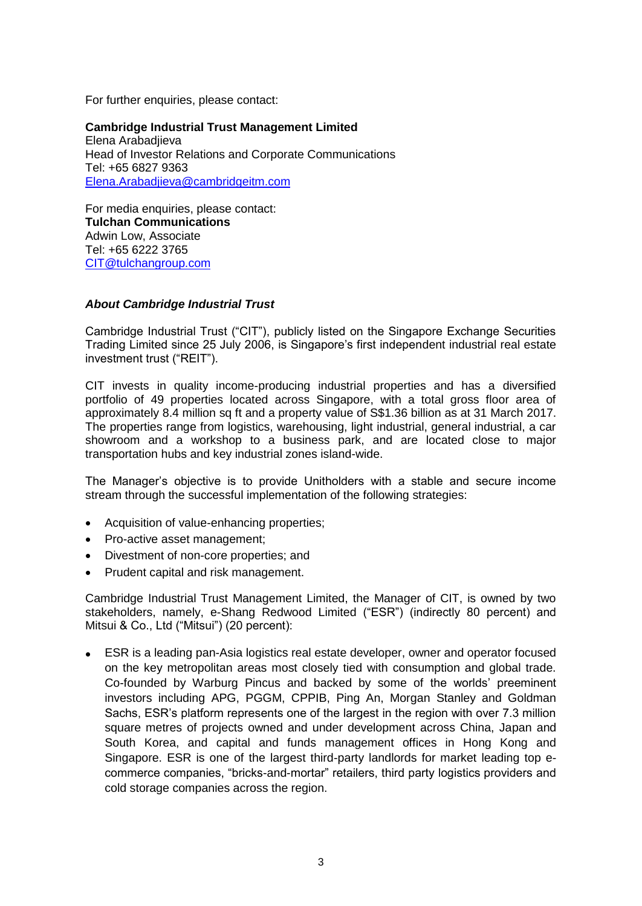For further enquiries, please contact:

**Cambridge Industrial Trust Management Limited** Elena Arabadjieva Head of Investor Relations and Corporate Communications Tel: +65 6827 9363 [Elena.Arabadjieva@cambridgeitm.com](mailto:Elena.Arabadjieva@cambridgeitm.com)

For media enquiries, please contact: **Tulchan Communications** Adwin Low, Associate Tel: +65 6222 3765 [CIT@tulchangroup.com](mailto:CIT@tulchangroup.com)

### *About Cambridge Industrial Trust*

Cambridge Industrial Trust ("CIT"), publicly listed on the Singapore Exchange Securities Trading Limited since 25 July 2006, is Singapore's first independent industrial real estate investment trust ("REIT").

CIT invests in quality income-producing industrial properties and has a diversified portfolio of 49 properties located across Singapore, with a total gross floor area of approximately 8.4 million sq ft and a property value of S\$1.36 billion as at 31 March 2017. The properties range from logistics, warehousing, light industrial, general industrial, a car showroom and a workshop to a business park, and are located close to major transportation hubs and key industrial zones island-wide.

The Manager's objective is to provide Unitholders with a stable and secure income stream through the successful implementation of the following strategies:

- Acquisition of value-enhancing properties;
- Pro-active asset management;
- Divestment of non-core properties; and
- Prudent capital and risk management.

Cambridge Industrial Trust Management Limited, the Manager of CIT, is owned by two stakeholders, namely, e-Shang Redwood Limited ("ESR") (indirectly 80 percent) and Mitsui & Co., Ltd ("Mitsui") (20 percent):

 ESR is a leading pan-Asia logistics real estate developer, owner and operator focused on the key metropolitan areas most closely tied with consumption and global trade. Co-founded by Warburg Pincus and backed by some of the worlds' preeminent investors including APG, PGGM, CPPIB, Ping An, Morgan Stanley and Goldman Sachs, ESR's platform represents one of the largest in the region with over 7.3 million square metres of projects owned and under development across China, Japan and South Korea, and capital and funds management offices in Hong Kong and Singapore. ESR is one of the largest third-party landlords for market leading top ecommerce companies, "bricks-and-mortar" retailers, third party logistics providers and cold storage companies across the region.